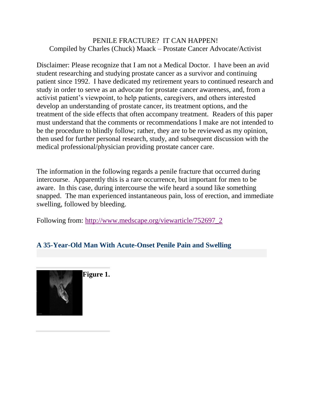## PENILE FRACTURE? IT CAN HAPPEN! Compiled by Charles (Chuck) Maack – Prostate Cancer Advocate/Activist

Disclaimer: Please recognize that I am not a Medical Doctor. I have been an avid student researching and studying prostate cancer as a survivor and continuing patient since 1992. I have dedicated my retirement years to continued research and study in order to serve as an advocate for prostate cancer awareness, and, from a activist patient's viewpoint, to help patients, caregivers, and others interested develop an understanding of prostate cancer, its treatment options, and the treatment of the side effects that often accompany treatment. Readers of this paper must understand that the comments or recommendations I make are not intended to be the procedure to blindly follow; rather, they are to be reviewed as my opinion, then used for further personal research, study, and subsequent discussion with the medical professional/physician providing prostate cancer care.

The information in the following regards a penile fracture that occurred during intercourse. Apparently this is a rare occurrence, but important for men to be aware. In this case, during intercourse the wife heard a sound like something snapped. The man experienced instantaneous pain, loss of erection, and immediate swelling, followed by bleeding.

Following from: [http://www.medscape.org/viewarticle/752697\\_2](http://www.medscape.org/viewarticle/752697_2)

## **A 35-Year-Old Man With Acute-Onset Penile Pain and Swelling**

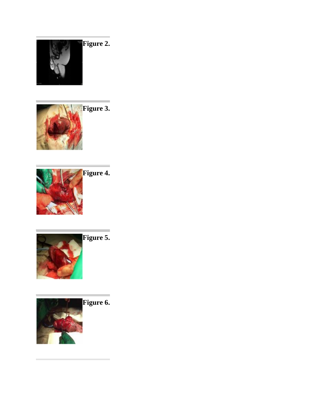







 $\equiv$ 

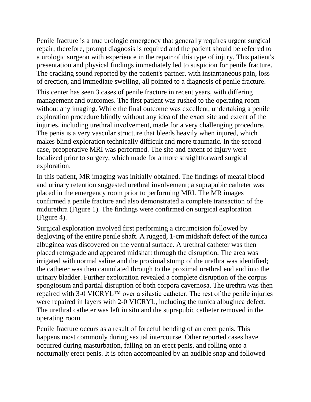Penile fracture is a true urologic emergency that generally requires urgent surgical repair; therefore, prompt diagnosis is required and the patient should be referred to a urologic surgeon with experience in the repair of this type of injury. This patient's presentation and physical findings immediately led to suspicion for penile fracture. The cracking sound reported by the patient's partner, with instantaneous pain, loss of erection, and immediate swelling, all pointed to a diagnosis of penile fracture.

This center has seen 3 cases of penile fracture in recent years, with differing management and outcomes. The first patient was rushed to the operating room without any imaging. While the final outcome was excellent, undertaking a penile exploration procedure blindly without any idea of the exact site and extent of the injuries, including urethral involvement, made for a very challenging procedure. The penis is a very vascular structure that bleeds heavily when injured, which makes blind exploration technically difficult and more traumatic. In the second case, preoperative MRI was performed. The site and extent of injury were localized prior to surgery, which made for a more straightforward surgical exploration.

In this patient, MR imaging was initially obtained. The findings of meatal blood and urinary retention suggested urethral involvement; a suprapubic catheter was placed in the emergency room prior to performing MRI. The MR images confirmed a penile fracture and also demonstrated a complete transaction of the midurethra (Figure 1). The findings were confirmed on surgical exploration (Figure 4).

Surgical exploration involved first performing a circumcision followed by degloving of the entire penile shaft. A rugged, 1-cm midshaft defect of the tunica albuginea was discovered on the ventral surface. A urethral catheter was then placed retrograde and appeared midshaft through the disruption. The area was irrigated with normal saline and the proximal stump of the urethra was identified; the catheter was then cannulated through to the proximal urethral end and into the urinary bladder. Further exploration revealed a complete disruption of the corpus spongiosum and partial disruption of both corpora cavernosa. The urethra was then repaired with 3-0 VICRYL™ over a silastic catheter. The rest of the penile injuries were repaired in layers with 2-0 VICRYL, including the tunica albuginea defect. The urethral catheter was left in situ and the suprapubic catheter removed in the operating room.

Penile fracture occurs as a result of forceful bending of an erect penis. This happens most commonly during sexual intercourse. Other reported cases have occurred during masturbation, falling on an erect penis, and rolling onto a nocturnally erect penis. It is often accompanied by an audible snap and followed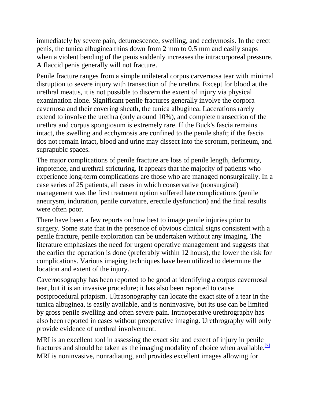immediately by severe pain, detumescence, swelling, and ecchymosis. In the erect penis, the tunica albuginea thins down from 2 mm to 0.5 mm and easily snaps when a violent bending of the penis suddenly increases the intracorporeal pressure. A flaccid penis generally will not fracture.

Penile fracture ranges from a simple unilateral corpus carvernosa tear with minimal disruption to severe injury with transection of the urethra. Except for blood at the urethral meatus, it is not possible to discern the extent of injury via physical examination alone. Significant penile fractures generally involve the corpora cavernosa and their covering sheath, the tunica albuginea. Lacerations rarely extend to involve the urethra (only around 10%), and complete transection of the urethra and corpus spongiosum is extremely rare. If the Buck's fascia remains intact, the swelling and ecchymosis are confined to the penile shaft; if the fascia dos not remain intact, blood and urine may dissect into the scrotum, perineum, and suprapubic spaces.

The major complications of penile fracture are loss of penile length, deformity, impotence, and urethral stricturing. It appears that the majority of patients who experience long-term complications are those who are managed nonsurgically. In a case series of 25 patients, all cases in which conservative (nonsurgical) management was the first treatment option suffered late complications (penile aneurysm, induration, penile curvature, erectile dysfunction) and the final results were often poor.

There have been a few reports on how best to image penile injuries prior to surgery. Some state that in the presence of obvious clinical signs consistent with a penile fracture, penile exploration can be undertaken without any imaging. The literature emphasizes the need for urgent operative management and suggests that the earlier the operation is done (preferably within 12 hours), the lower the risk for complications. Various imaging techniques have been utilized to determine the location and extent of the injury.

Cavernosography has been reported to be good at identifying a corpus cavernosal tear, but it is an invasive procedure; it has also been reported to cause postprocedural priapism. Ultrasonography can locate the exact site of a tear in the tunica albuginea, is easily available, and is noninvasive, but its use can be limited by gross penile swelling and often severe pain. Intraoperative urethrography has also been reported in cases without preoperative imaging. Urethrography will only provide evidence of urethral involvement.

MRI is an excellent tool in assessing the exact site and extent of injury in penile fractures and should be taken as the imaging modality of choice when available.<sup>[\[7\]](javascript:newshowcontent()</sup> MRI is noninvasive, nonradiating, and provides excellent images allowing for